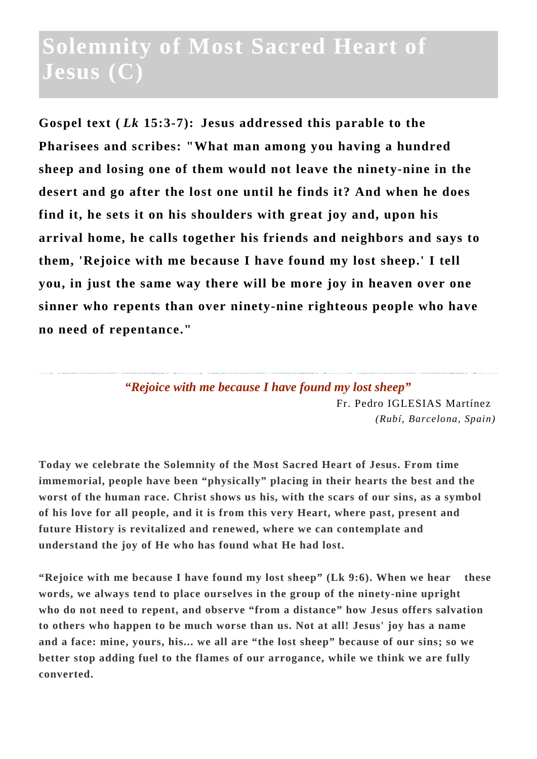## **Solemnity of Most Sacred Heart of Jesus (C)**

**Gospel text (** *Lk* **15:3-7): Jesus addressed this parable to the Pharisees and scribes: "What man among you having a hundred sheep and losing one of them would not leave the ninety-nine in the desert and go after the lost one until he finds it? And when he does find it, he sets it on his shoulders with great joy and, upon his arrival home, he calls together his friends and neighbors and says to them, 'Rejoice with me because I have found my lost sheep.' I tell you, in just the same way there will be more joy in heaven over one sinner who repents than over ninety-nine righteous people who have no need of repentance."**

> *"Rejoice with me because I have found my lost sheep"* Fr. Pedro IGLESIAS Martínez *(Rubí, Barcelona, Spain)*

**Today we celebrate the Solemnity of the Most Sacred Heart of Jesus. From time immemorial, people have been "physically" placing in their hearts the best and the worst of the human race. Christ shows us his, with the scars of our sins, as a symbol of his love for all people, and it is from this very Heart, where past, present and future History is revitalized and renewed, where we can contemplate and understand the joy of He who has found what He had lost.**

**"Rejoice with me because I have found my lost sheep" (Lk 9:6). When we hear these words, we always tend to place ourselves in the group of the ninety-nine upright who do not need to repent, and observe "from a distance" how Jesus offers salvation to others who happen to be much worse than us. Not at all! Jesus' joy has a name and a face: mine, yours, his... we all are "the lost sheep" because of our sins; so we better stop adding fuel to the flames of our arrogance, while we think we are fully converted.**